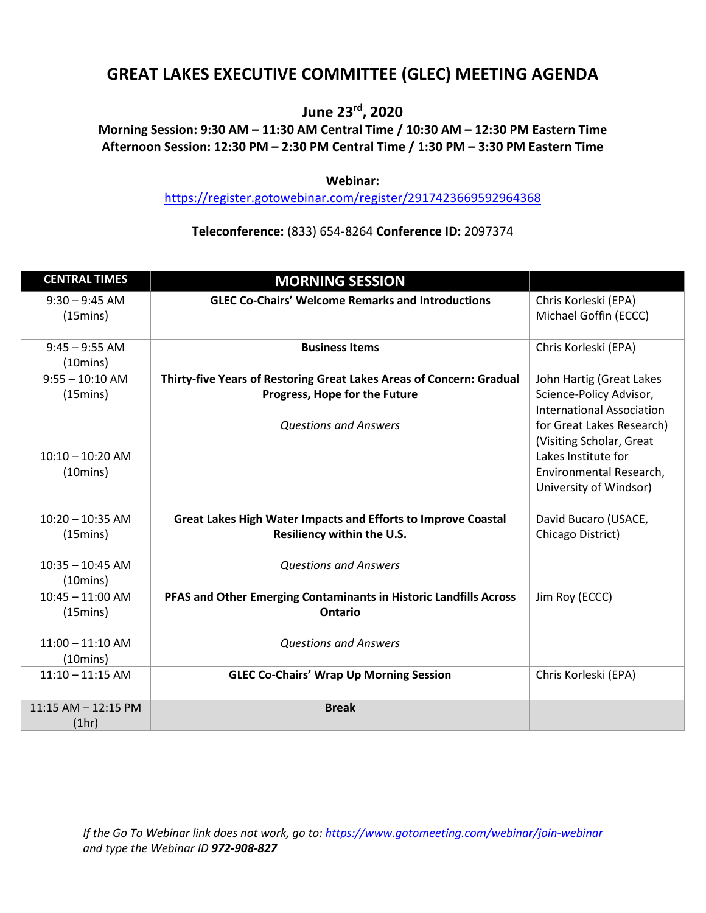# **GREAT LAKES EXECUTIVE COMMITTEE (GLEC) MEETING AGENDA**

## **June 23rd, 2020**

### **Morning Session: 9:30 AM – 11:30 AM Central Time / 10:30 AM – 12:30 PM Eastern Time Afternoon Session: 12:30 PM – 2:30 PM Central Time / 1:30 PM – 3:30 PM Eastern Time**

#### **Webinar:**

<https://register.gotowebinar.com/register/2917423669592964368>

### **Teleconference:** (833) 654-8264 **Conference ID:** 2097374

| <b>CENTRAL TIMES</b>                     | <b>MORNING SESSION</b>                                               |                                                       |
|------------------------------------------|----------------------------------------------------------------------|-------------------------------------------------------|
| $9:30 - 9:45$ AM<br>(15 <sub>min</sub> ) | <b>GLEC Co-Chairs' Welcome Remarks and Introductions</b>             | Chris Korleski (EPA)<br>Michael Goffin (ECCC)         |
| $9:45 - 9:55$ AM<br>$(10 \text{mins})$   | <b>Business Items</b>                                                | Chris Korleski (EPA)                                  |
| $9:55 - 10:10$ AM                        | Thirty-five Years of Restoring Great Lakes Areas of Concern: Gradual | John Hartig (Great Lakes                              |
| (15mins)                                 | Progress, Hope for the Future                                        | Science-Policy Advisor,<br>International Association  |
|                                          | <b>Questions and Answers</b>                                         | for Great Lakes Research)<br>(Visiting Scholar, Great |
| $10:10 - 10:20$ AM                       |                                                                      | Lakes Institute for                                   |
| $(10 \text{mins})$                       |                                                                      | Environmental Research,<br>University of Windsor)     |
| $10:20 - 10:35$ AM                       | Great Lakes High Water Impacts and Efforts to Improve Coastal        | David Bucaro (USACE,                                  |
| (15mins)                                 | Resiliency within the U.S.                                           | Chicago District)                                     |
| $10:35 - 10:45$ AM                       | <b>Questions and Answers</b>                                         |                                                       |
| $(10 \text{mins})$                       |                                                                      |                                                       |
| $10:45 - 11:00$ AM                       | PFAS and Other Emerging Contaminants in Historic Landfills Across    | Jim Roy (ECCC)                                        |
| (15mins)                                 | Ontario                                                              |                                                       |
| $11:00 - 11:10$ AM                       | <b>Questions and Answers</b>                                         |                                                       |
| $(10 \text{mins})$                       |                                                                      |                                                       |
| $11:10 - 11:15$ AM                       | <b>GLEC Co-Chairs' Wrap Up Morning Session</b>                       | Chris Korleski (EPA)                                  |
| 11:15 AM - 12:15 PM                      | <b>Break</b>                                                         |                                                       |
| (1hr)                                    |                                                                      |                                                       |

*If the Go To Webinar link does not work, go to:<https://www.gotomeeting.com/webinar/join-webinar> and type the Webinar ID 972-908-827*